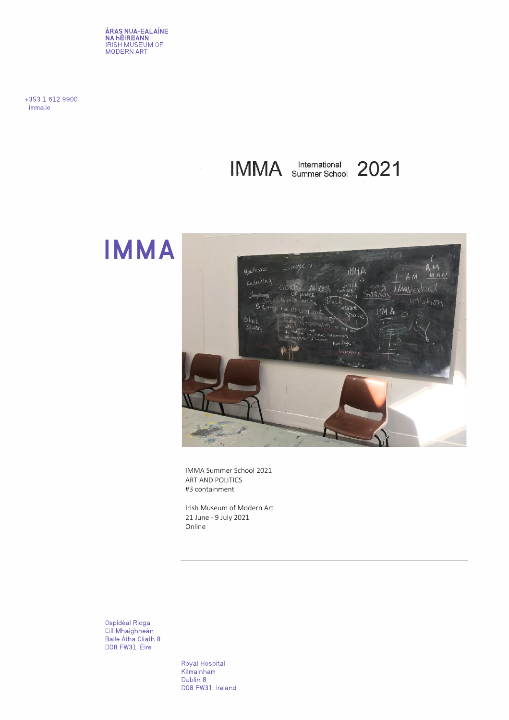**ÁRAS NUA-EALAÍNE<br>NA HÉIREANN**<br>IRISH MUSEUM OF<br>MODERN ART

+353 1 612 9900 imma.ie

IMMA Summer School 2021





 IMMA Summer School 2021 ART AND POLITICS #3 containment

 Irish Museum of Modern Art 21 June - 9 July 2021 Online

Ospidéal Ríoga<br>Cill Mhaighneán Baile Átha Cliath 8 DO8 FW31, Éire

> Royal Hospital Kilmainham Dublin 8 D08 FW31, Ireland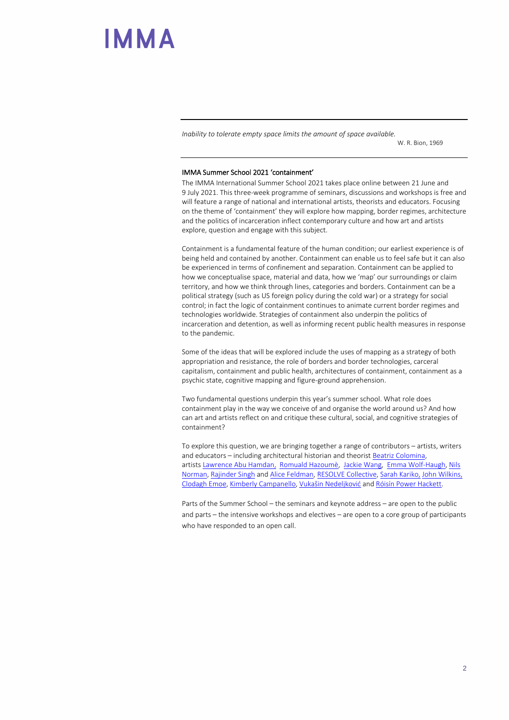*Inability to tolerate empty space limits the amount of space available.* 

W. R. Bion, 1969

#### IMMA Summer School 2021 'containment'

The IMMA International Summer School 2021 takes place online between 21 June and 9 July 2021. This three-week programme of seminars, discussions and workshops is free and will feature a range of national and international artists, theorists and educators. Focusing on the theme of 'containment' they will explore how mapping, border regimes, architecture and the politics of incarceration inflect contemporary culture and how art and artists explore, question and engage with this subject.

Containment is a fundamental feature of the human condition; our earliest experience is of being held and contained by another. Containment can enable us to feel safe but it can also be experienced in terms of confinement and separation. Containment can be applied to how we conceptualise space, material and data, how we 'map' our surroundings or claim territory, and how we think through lines, categories and borders. Containment can be a political strategy (such as US foreign policy during the cold war) or a strategy for social control; in fact the logic of containment continues to animate current border regimes and technologies worldwide. Strategies of containment also underpin the politics of incarceration and detention, as well as informing recent public health measures in response to the pandemic.

Some of the ideas that will be explored include the uses of mapping as a strategy of both appropriation and resistance, the role of borders and border technologies, carceral capitalism, containment and public health, architectures of containment, containment as a psychic state, cognitive mapping and figure-ground apprehension.

Two fundamental questions underpin this year's summer school. What role does containment play in the way we conceive of and organise the world around us? And how can art and artists reflect on and critique these cultural, social, and cognitive strategies of containment?

To explore this question, we are bringing together a range of contributors – artists, writers and educators – including architectural historian and theorist [Beatriz Colomina,](https://soa.princeton.edu/content/beatriz-colomina) artists [Lawrence Abu Hamdan,](http://lawrenceabuhamdan.com/) [Romuald Hazoumè,](https://octobergallery.co.uk/artists/hazoume?slug=hazoume/) [Jackie Wang,](https://www.radcliffe.harvard.edu/people/jackie-wang) [Emma Wolf-Haugh,](https://emmahaugh.com/) Nils [Norman,](https://www.dismalgarden.com/) [Rajinder Singh](http://www.unprimed.com/) and [Alice Feldman,](http://www.racemigrationdecolonialstudies.com/) [RESOLVE](https://www.resolvecollective.com/) Collective[, Sarah Kariko,](http://gossamerlabs.net/) [John Wilkins,](https://imma.ie/whats-on/the-construction-of-racial-essentialism/) [Clodagh Emoe,](https://www.clodaghemoe.com/) [Kimberly Campanello,](http://www.kimberlycampanello.com/) [Vukašin Nedeljković](http://www.asylumarchive.com/) an[d Róisín Power Hackett.](https://roisinphackett.wordpress.com/)

Parts of the Summer School – the seminars and keynote address – are open to the public and parts – the intensive workshops and electives – are open to a core group of participants who have responded to an open call.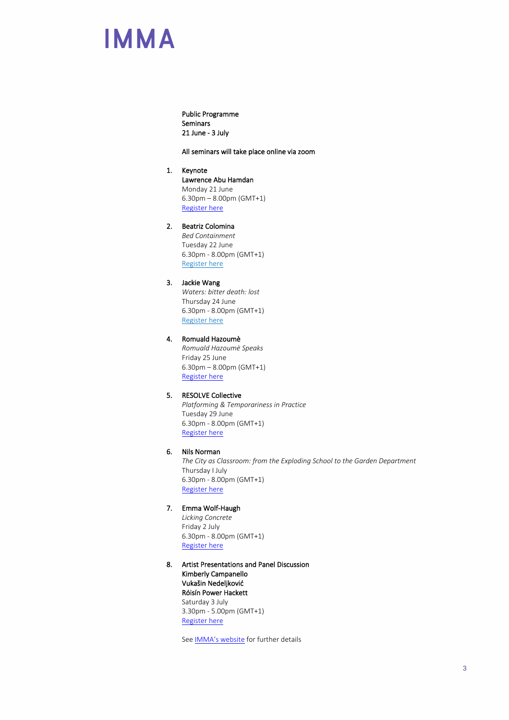Public Programme Seminars 21 June - 3 July

#### All seminars will take place online via zoom

#### 1. Keynote

Lawrence Abu Hamdan Monday 21 June 6.30pm – 8.00pm (GMT+1) [Register here](https://imma-ie.zoom.us/webinar/register/WN_SbTcqp6nRtmiI-tGdZHtoA)

### 2. Beatriz Colomina

*Bed Containment* Tuesday 22 June 6.30pm - 8.00pm (GMT+1) [Register here](https://imma-ie.zoom.us/webinar/register/WN_oz4L09K_TFCeGMuqxxidyQ)

#### 3. Jackie Wang

*Waters: bitter death: lost* Thursday 24 June 6.30pm - 8.00pm (GMT+1) [Register here](https://imma-ie.zoom.us/webinar/register/WN_uLLTnXqlSZaCsa94n9pGQA)

### 4. Romuald Hazoumè

*Romuald Hazoumè Speaks* Friday 25 June 6.30pm – 8.00pm (GMT+1) [Register here](https://imma-ie.zoom.us/webinar/register/WN_ae-uaET1TnGhtpVGkF1fUA)

#### 5. RESOLVE Collective

*Platforming & Temporariness in Practice*  Tuesday 29 June 6.30pm - 8.00pm (GMT+1) [Register here](https://imma-ie.zoom.us/webinar/register/WN_zHXbTLp9QZiMHNHWiLShuw)

### 6. Nils Norman

*The City as Classroom: from the Exploding School to the Garden Department* Thursday I July 6.30pm - 8.00pm (GMT+1) [Register here](https://imma-ie.zoom.us/webinar/register/WN_8Nqk0wK5SK6k618WpP646g)

#### 7. Emma Wolf-Haugh

*Licking Concrete* Friday 2 July 6.30pm - 8.00pm (GMT+1) [Register here](https://imma-ie.zoom.us/webinar/register/WN_gQvC0GshR-uiyH1bA8Pmew)

8. Artist Presentations and Panel Discussion Kimberly Campanello Vukašin Nedeljković Róisín Power Hackett Saturday 3 July 3.30pm - 5.00pm (GMT+1) [Register here](https://imma-ie.zoom.us/webinar/register/WN_ZaZaU771RyatcIDdGNmxJA)

See **[IMMA's website](https://imma.ie/whats-on/imma-international-summer-school-2021)** for further details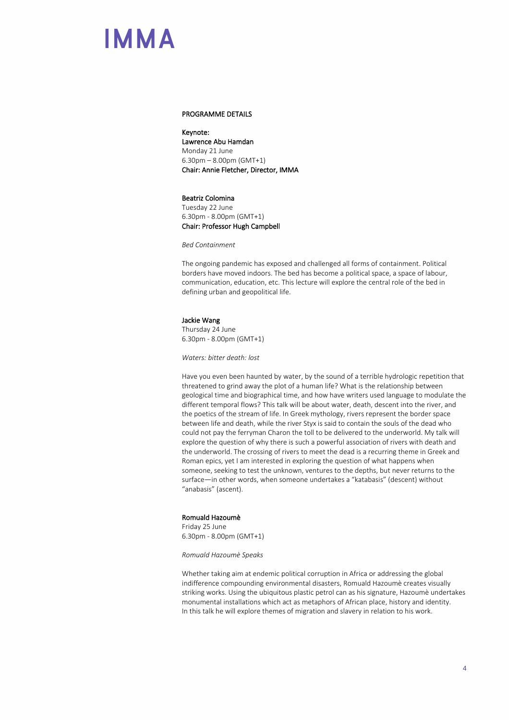#### PROGRAMME DETAILS

Keynote: Lawrence Abu Hamdan Monday 21 June 6.30pm – 8.00pm (GMT+1) Chair: Annie Fletcher, Director, IMMA

#### Beatriz Colomina

Tuesday 22 June 6.30pm - 8.00pm (GMT+1) Chair: Professor Hugh Campbell

*Bed Containment* 

The ongoing pandemic has exposed and challenged all forms of containment. Political borders have moved indoors. The bed has become a political space, a space of labour, communication, education, etc. This lecture will explore the central role of the bed in defining urban and geopolitical life.

#### Jackie Wang

Thursday 24 June 6.30pm - 8.00pm (GMT+1)

*Waters: bitter death: lost*

Have you even been haunted by water, by the sound of a terrible hydrologic repetition that threatened to grind away the plot of a human life? What is the relationship between geological time and biographical time, and how have writers used language to modulate the different temporal flows? This talk will be about water, death, descent into the river, and the poetics of the stream of life. In Greek mythology, rivers represent the border space between life and death, while the river Styx is said to contain the souls of the dead who could not pay the ferryman Charon the toll to be delivered to the underworld. My talk will explore the question of why there is such a powerful association of rivers with death and the underworld. The crossing of rivers to meet the dead is a recurring theme in Greek and Roman epics, yet I am interested in exploring the question of what happens when someone, seeking to test the unknown, ventures to the depths, but never returns to the surface—in other words, when someone undertakes a "katabasis" (descent) without "anabasis" (ascent).

#### Romuald Hazoumè

Friday 25 June 6.30pm - 8.00pm (GMT+1)

*Romuald Hazoumè Speaks*

Whether taking aim at endemic political corruption in Africa or addressing the global indifference compounding environmental disasters, Romuald Hazoumè creates visually striking works. Using the ubiquitous plastic petrol can as his signature, Hazoumè undertakes monumental installations which act as metaphors of African place, history and identity. In this talk he will explore themes of migration and slavery in relation to his work.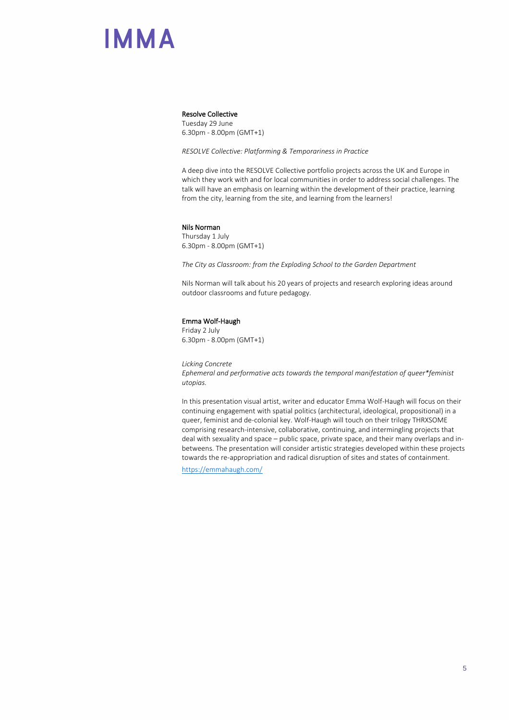#### Resolve Collective

Tuesday 29 June 6.30pm - 8.00pm (GMT+1)

*RESOLVE Collective: Platforming & Temporariness in Practice*

A deep dive into the RESOLVE Collective portfolio projects across the UK and Europe in which they work with and for local communities in order to address social challenges. The talk will have an emphasis on learning within the development of their practice, learning from the city, learning from the site, and learning from the learners!

#### Nils Norman

Thursday 1 July 6.30pm - 8.00pm (GMT+1)

*The City as Classroom: from the Exploding School to the Garden Department* 

Nils Norman will talk about his 20 years of projects and research exploring ideas around outdoor classrooms and future pedagogy.

#### Emma Wolf-Haugh

Friday 2 July 6.30pm - 8.00pm (GMT+1)

*Licking Concrete Ephemeral and performative acts towards the temporal manifestation of queer\*feminist utopias.*

In this presentation visual artist, writer and educator Emma Wolf-Haugh will focus on their continuing engagement with spatial politics (architectural, ideological, propositional) in a queer, feminist and de-colonial key. Wolf-Haugh will touch on their trilogy THRXSOME comprising research-intensive, collaborative, continuing, and intermingling projects that deal with sexuality and space – public space, private space, and their many overlaps and inbetweens. The presentation will consider artistic strategies developed within these projects towards the re-appropriation and radical disruption of sites and states of containment.

<https://emmahaugh.com/>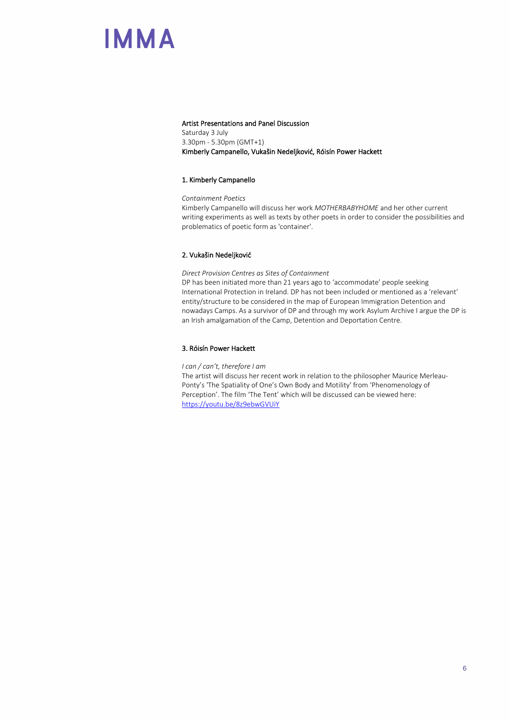#### Artist Presentations and Panel Discussion

Saturday 3 July 3.30pm - 5.30pm (GMT+1) Kimberly Campanello, Vukašin Nedeljković, Róisín Power Hackett

#### 1. Kimberly Campanello

*Containment Poetics* Kimberly Campanello will discuss her work *MOTHERBABYHOME* and her other current writing experiments as well as texts by other poets in order to consider the possibilities and problematics of poetic form as 'container'.

#### 2. Vukašin Nedeljković

*Direct Provision Centres as Sites of Containment*

DP has been initiated more than 21 years ago to 'accommodate' people seeking International Protection in Ireland. DP has not been included or mentioned as a 'relevant' entity/structure to be considered in the map of European Immigration Detention and nowadays Camps. As a survivor of DP and through my work Asylum Archive I argue the DP is an Irish amalgamation of the Camp, Detention and Deportation Centre.

#### 3. Róisín Power Hackett

*I can / can't, therefore I am* 

The artist will discuss her recent work in relation to the philosopher Maurice Merleau-Ponty's 'The Spatiality of One's Own Body and Motility' from 'Phenomenology of Perception'. The film 'The Tent' which will be discussed can be viewed here: <https://youtu.be/8z9ebwGVUiY>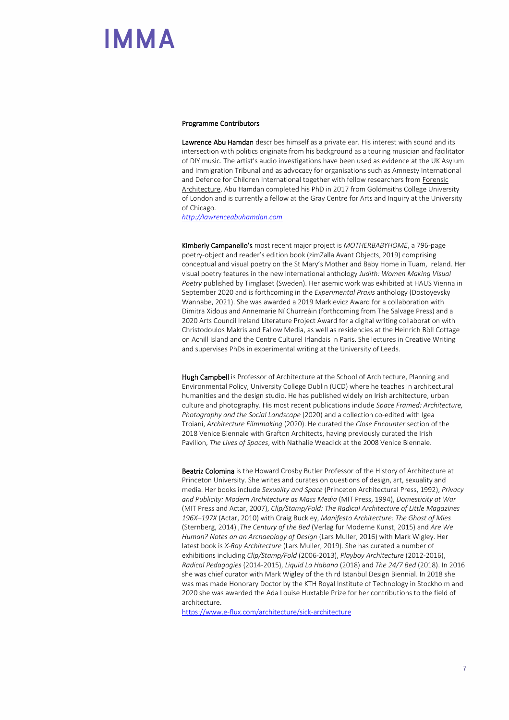#### Programme Contributors

Lawrence Abu Hamdan describes himself as a private ear. His interest with sound and its intersection with politics originate from his background as a touring musician and facilitator of DIY music. The artist's audio investigations have been used as evidence at the UK Asylum and Immigration Tribunal and as advocacy for organisations such as Amnesty International and Defence for Children International together with fellow researchers from Forensic [Architecture.](http://www.forensic-architecture.org/file/forensic-listening/) Abu Hamdan completed his PhD in 2017 from Goldmsiths College University of London and is currently a fellow at the Gray Centre for Arts and Inquiry at the University of Chicago.

*[http://lawrenceabuhamdan.com](http://lawrenceabuhamdan.com/)*

Kimberly Campanello's most recent major project is *MOTHERBABYHOME*, a 796-page poetry-object and reader's edition book (zimZalla Avant Objects, 2019) comprising conceptual and visual poetry on the St Mary's Mother and Baby Home in Tuam, Ireland. Her visual poetry features in the new international anthology *Judith: Women Making Visual Poetry* published by Timglaset (Sweden). Her asemic work was exhibited at HAUS Vienna in September 2020 and is forthcoming in the *Experimental Praxis* anthology (Dostoyevsky Wannabe, 2021). She was awarded a 2019 Markievicz Award for a collaboration with Dimitra Xidous and Annemarie Ní Churreáin (forthcoming from The Salvage Press) and a 2020 Arts Council Ireland Literature Project Award for a digital writing collaboration with Christodoulos Makris and Fallow Media, as well as residencies at the Heinrich Böll Cottage on Achill Island and the Centre Culturel Irlandais in Paris. She lectures in Creative Writing and supervises PhDs in experimental writing at the University of Leeds.

Hugh Campbell is Professor of Architecture at the School of Architecture, Planning and Environmental Policy, University College Dublin (UCD) where he teaches in architectural humanities and the design studio. He has published widely on Irish architecture, urban culture and photography. His most recent publications include *Space Framed: Architecture, Photography and the Social Landscape* (2020) and a collection co-edited with Igea Troiani, *Architecture Filmmaking* (2020). He curated the *Close Encounter* section of the 2018 Venice Biennale with Grafton Architects, having previously curated the Irish Pavilion, *The Lives of Spaces*, with Nathalie Weadick at the 2008 Venice Biennale.

Beatriz Colomina is the Howard Crosby Butler Professor of the History of Architecture at Princeton University. She writes and curates on questions of design, art, sexuality and media. Her books include *Sexuality and Space* (Princeton Architectural Press, 1992), *Privacy and Publicity: Modern Architecture as Mass Media* (MIT Press, 1994), *Domesticity at War*  (MIT Press and Actar, 2007), *Clip/Stamp/Fold: The Radical Architecture of Little Magazines 196X–197X* (Actar, 2010) with Craig Buckley, *Manifesto Architecture: The Ghost of Mies*  (Sternberg, 2014) ,*The Century of the Bed* (Verlag fur Moderne Kunst, 2015) and *Are We Human? Notes on an Archaeology of Design* (Lars Muller, 2016) with Mark Wigley. Her latest book is *X-Ray Architecture* (Lars Muller, 2019). She has curated a number of exhibitions including *Clip/Stamp/Fold* (2006-2013), *Playboy Architecture* (2012-2016), *Radical Pedagogies* (2014-2015), *Liquid La Habana* (2018) and *The 24/7 Bed* (2018). In 2016 she was chief curator with Mark Wigley of the third Istanbul Design Biennial. In 2018 she was mas made Honorary Doctor by the KTH Royal Institute of Technology in Stockholm and 2020 she was awarded the Ada Louise Huxtable Prize for her contributions to the field of architecture.

<https://www.e-flux.com/architecture/sick-architecture>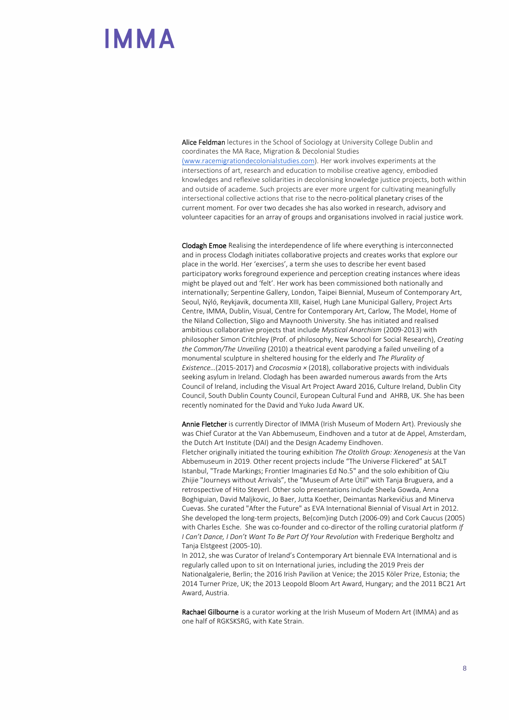Alice Feldman lectures in the School of Sociology at University College Dublin and coordinates the MA Race, Migration & Decolonial Studies

[\(www.racemigrationdecolonialstudies.com\)](http://www.racemigrationdecolonialstudies.com/). Her work involves experiments at the intersections of art, research and education to mobilise creative agency, embodied knowledges and reflexive solidarities in decolonising knowledge justice projects, both within and outside of academe. Such projects are ever more urgent for cultivating meaningfully intersectional collective actions that rise to the necro-political planetary crises of the current moment. For over two decades she has also worked in research, advisory and volunteer capacities for an array of groups and organisations involved in racial justice work.

Clodagh Emoe Realising the interdependence of life where everything is interconnected and in process Clodagh initiates collaborative projects and creates works that explore our place in the world. Her 'exercises', a term she uses to describe her event based participatory works foreground experience and perception creating instances where ideas might be played out and 'felt'. Her work has been commissioned both nationally and internationally; Serpentine Gallery, London, Taipei Biennial, Museum of Contemporary Art, Seoul, Nýló, Reykjavik, documenta XIII, Kaisel, Hugh Lane Municipal Gallery, Project Arts Centre, IMMA, Dublin, Visual, Centre for Contemporary Art, Carlow, The Model, Home of the Niland Collection, Sligo and Maynooth University. She has initiated and realised ambitious collaborative projects that include *Mystical Anarchism* (2009-2013) with philosopher Simon Critchley (Prof. of philosophy, New School for Social Research), *Creating the Common/The Unveiling* (2010) a theatrical event parodying a failed unveiling of a monumental sculpture in sheltered housing for the elderly and *The Plurality of Existence…*(2015-2017) and *Crocosmia ×* (2018), collaborative projects with individuals seeking asylum in Ireland. Clodagh has been awarded numerous awards from the Arts Council of Ireland, including the Visual Art Project Award 2016, Culture Ireland, Dublin City Council, South Dublin County Council, European Cultural Fund and AHRB, UK. She has been recently nominated for the David and Yuko Juda Award UK.

Annie Fletcher is currently Director of IMMA (Irish Museum of Modern Art). Previously she was Chief Curator at the Van Abbemuseum, Eindhoven and a tutor at de Appel, Amsterdam, the Dutch Art Institute (DAI) and the Design Academy Eindhoven. Fletcher originally initiated the touring exhibition *The Otolith Group: Xenogenesis* at the Van Abbemuseum in 2019. Other recent projects include "The Universe Flickered" at SALT Istanbul, "Trade Markings; Frontier Imaginaries Ed No.5" and the solo exhibition of Qiu Zhijie "Journeys without Arrivals", the "Museum of Arte Útil" with Tanja Bruguera, and a retrospective of Hito Steyerl. Other solo presentations include Sheela Gowda, Anna Boghiguian, David Maljkovic, Jo Baer, Jutta Koether, Deimantas Narkevičius and Minerva Cuevas. She curated "After the Future" as EVA International Biennial of Visual Art in 2012. She developed the long-term projects, Be(com)ing Dutch (2006-09) and Cork Caucus (2005) with Charles Esche. She was co-founder and co-director of the rolling curatorial platform *If I Can't Dance, I Don't Want To Be Part Of Your Revolution* with Frederique Bergholtz and Tanja Elstgeest (2005-10).

In 2012, she was Curator of Ireland's Contemporary Art biennale EVA International and is regularly called upon to sit on International juries, including the 2019 Preis der Nationalgalerie, Berlin; the 2016 Irish Pavilion at Venice; the 2015 Köler Prize, Estonia; the 2014 Turner Prize, UK; the 2013 Leopold Bloom Art Award, Hungary; and the 2011 BC21 Art Award, Austria.

Rachael Gilbourne is a curator working at the Irish Museum of Modern Art (IMMA) and as one half of RGKSKSRG, with Kate Strain.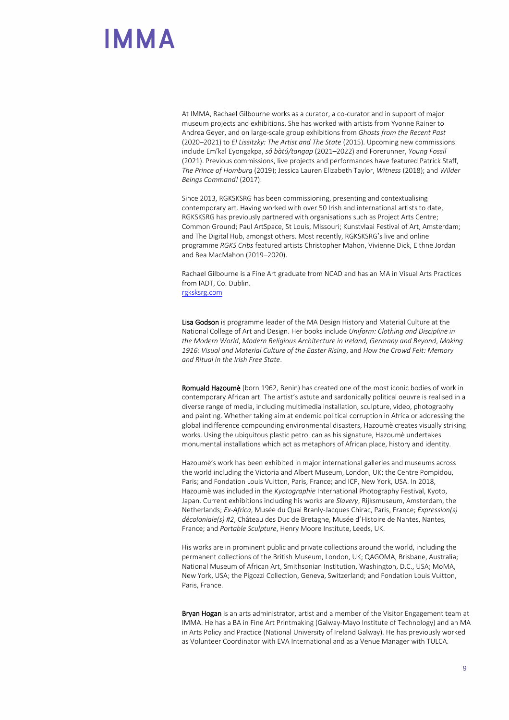At IMMA, Rachael Gilbourne works as a curator, a co-curator and in support of major museum projects and exhibitions. She has worked with artists from Yvonne Rainer to Andrea Geyer, and on large-scale group exhibitions from *Ghosts from the Recent Past* (2020–2021) to *El Lissitzky: The Artist and The State* (2015). Upcoming new commissions include Em'kal Eyongakpa, *sǒ bàtú/tangap* (2021–2022) and Forerunner, *Young Fossil* (2021). Previous commissions, live projects and performances have featured Patrick Staff, *The Prince of Homburg* (2019); Jessica Lauren Elizabeth Taylor, *Witness* (2018); and *Wilder Beings Command!* (2017).

Since 2013, RGKSKSRG has been commissioning, presenting and contextualising contemporary art. Having worked with over 50 Irish and international artists to date, RGKSKSRG has previously partnered with organisations such as Project Arts Centre; Common Ground; Paul ArtSpace, St Louis, Missouri; Kunstvlaai Festival of Art, Amsterdam; and The Digital Hub, amongst others. Most recently, RGKSKSRG's live and online programme *RGKS Cribs* featured artists Christopher Mahon, Vivienne Dick, Eithne Jordan and Bea MacMahon (2019–2020).

Rachael Gilbourne is a Fine Art graduate from NCAD and has an MA in Visual Arts Practices from IADT, Co. Dublin. [rgksksrg.com](http://rgksksrg.com/)

Lisa Godson is programme leader of the MA Design History and Material Culture at the National College of Art and Design. Her books include *Uniform: Clothing and Discipline in the Modern World*, *Modern Religious Architecture in Ireland, Germany and Beyond*, *Making 1916: Visual and Material Culture of the Easter Rising*, and *How the Crowd Felt: Memory and Ritual in the Irish Free State*.

Romuald Hazoumè (born 1962, Benin) has created one of the most iconic bodies of work in contemporary African art. The artist's astute and sardonically political oeuvre is realised in a diverse range of media, including multimedia installation, sculpture, video, photography and painting. Whether taking aim at endemic political corruption in Africa or addressing the global indifference compounding environmental disasters, Hazoumè creates visually striking works. Using the ubiquitous plastic petrol can as his signature, Hazoumè undertakes monumental installations which act as metaphors of African place, history and identity.

Hazoumè's work has been exhibited in major international galleries and museums across the world including the Victoria and Albert Museum, London, UK; the Centre Pompidou, Paris; and Fondation Louis Vuitton, Paris, France; and ICP, New York, USA. In 2018, Hazoumè was included in the *Kyotographie* International Photography Festival, Kyoto, Japan. Current exhibitions including his works are *Slavery*, Rijksmuseum, Amsterdam, the Netherlands; *Ex-Africa*, Musée du Quai Branly-Jacques Chirac, Paris, France; *Expression(s) décoloniale(s) #2*, Château des Duc de Bretagne, Musée d'Histoire de Nantes, Nantes, France; and *Portable Sculpture*, Henry Moore Institute, Leeds, UK.

His works are in prominent public and private collections around the world, including the permanent collections of the British Museum, London, UK; QAGOMA, Brisbane, Australia; National Museum of African Art, Smithsonian Institution, Washington, D.C., USA; MoMA, New York, USA; the Pigozzi Collection, Geneva, Switzerland; and Fondation Louis Vuitton, Paris, France.

Bryan Hogan is an arts administrator, artist and a member of the Visitor Engagement team at IMMA. He has a BA in Fine Art Printmaking (Galway-Mayo Institute of Technology) and an MA in Arts Policy and Practice (National University of Ireland Galway). He has previously worked as Volunteer Coordinator with EVA International and as a Venue Manager with TULCA.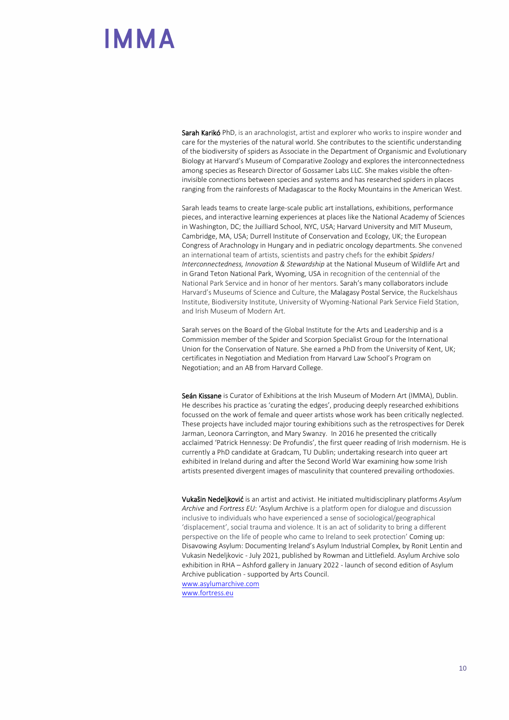Sarah Karikó PhD, is an arachnologist, artist and explorer who works to inspire wonder and care for the mysteries of the natural world. She contributes to the scientific understanding of the biodiversity of spiders as Associate in the Department of Organismic and Evolutionary Biology at Harvard's Museum of Comparative Zoology and explores the interconnectedness among species as Research Director of Gossamer Labs LLC. She makes visible the ofteninvisible connections between species and systems and has researched spiders in places ranging from the rainforests of Madagascar to the Rocky Mountains in the American West.

Sarah leads teams to create large-scale public art installations, exhibitions, performance pieces, and interactive learning experiences at places like the National Academy of Sciences in Washington, DC; the Juilliard School, NYC, USA; Harvard University and MIT Museum, Cambridge, MA, USA; Durrell Institute of Conservation and Ecology, UK; the European Congress of Arachnology in Hungary and in pediatric oncology departments. She convened an international team of artists, scientists and pastry chefs for the exhibit *Spiders! Interconnectedness, Innovation & Stewardship* at the National Museum of Wildlife Art and in Grand Teton National Park, Wyoming, USA in recognition of the centennial of the National Park Service and in honor of her mentors. Sarah's many collaborators include Harvard's Museums of Science and Culture, the Malagasy Postal Service, the Ruckelshaus Institute, Biodiversity Institute, University of Wyoming-National Park Service Field Station, and Irish Museum of Modern Art.

Sarah serves on the Board of the Global Institute for the Arts and Leadership and is a Commission member of the Spider and Scorpion Specialist Group for the International Union for the Conservation of Nature. She earned a PhD from the University of Kent, UK; certificates in Negotiation and Mediation from Harvard Law School's Program on Negotiation; and an AB from Harvard College.

Seán Kissane is Curator of Exhibitions at the Irish Museum of Modern Art (IMMA), Dublin. He describes his practice as 'curating the edges', producing deeply researched exhibitions focussed on the work of female and queer artists whose work has been critically neglected. These projects have included major touring exhibitions such as the retrospectives for Derek Jarman, Leonora Carrington, and Mary Swanzy. In 2016 he presented the critically acclaimed 'Patrick Hennessy: De Profundis', the first queer reading of Irish modernism. He is currently a PhD candidate at Gradcam, TU Dublin; undertaking research into queer art exhibited in Ireland during and after the Second World War examining how some Irish artists presented divergent images of masculinity that countered prevailing orthodoxies.

Vukašin Nedeljković is an artist and activist. He initiated multidisciplinary platforms *Asylum Archive* and *Fortress EU*: 'Asylum Archive is a platform open for dialogue and discussion inclusive to individuals who have experienced a sense of sociological/geographical 'displacement', social trauma and violence. It is an act of solidarity to bring a different perspective on the life of people who came to Ireland to seek protection' Coming up: Disavowing Asylum: Documenting Ireland's Asylum Industrial Complex, by Ronit Lentin and Vukasin Nedeljkovic - July 2021, published by Rowman and Littlefield. Asylum Archive solo exhibition in RHA – Ashford gallery in January 2022 - launch of second edition of Asylum Archive publication - supported by Arts Council. [www.asylumarchive.com](http://www.asylumarchive.com/) [www.fortress.eu](http://www.fortress.eu/)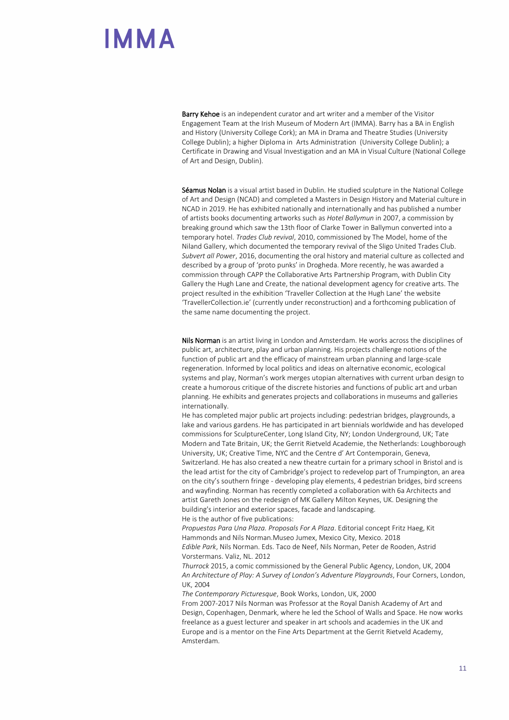Barry Kehoe is an independent curator and art writer and a member of the Visitor Engagement Team at the Irish Museum of Modern Art (IMMA). Barry has a BA in English and History (University College Cork); an MA in Drama and Theatre Studies (University College Dublin); a higher Diploma in Arts Administration (University College Dublin); a Certificate in Drawing and Visual Investigation and an MA in Visual Culture (National College of Art and Design, Dublin).

Séamus Nolan is a visual artist based in Dublin. He studied sculpture in the National College of Art and Design (NCAD) and completed a Masters in Design History and Material culture in NCAD in 2019. He has exhibited nationally and internationally and has published a number of artists books documenting artworks such as *Hotel Ballymun* in 2007, a commission by breaking ground which saw the 13th floor of Clarke Tower in Ballymun converted into a temporary hotel. *Trades Club revival*, 2010, commissioned by The Model, home of the Niland Gallery, which documented the temporary revival of the Sligo United Trades Club. *Subvert all Power*, 2016, documenting the oral history and material culture as collected and described by a group of 'proto punks' in Drogheda. More recently, he was awarded a commission through CAPP the Collaborative Arts Partnership Program, with Dublin City Gallery the Hugh Lane and Create, the national development agency for creative arts. The project resulted in the exhibition 'Traveller Collection at the Hugh Lane' the website 'TravellerCollection.ie' (currently under reconstruction) and a forthcoming publication of the same name documenting the project.

Nils Norman is an artist living in London and Amsterdam. He works across the disciplines of public art, architecture, play and urban planning. His projects challenge notions of the function of public art and the efficacy of mainstream urban planning and large-scale regeneration. Informed by local politics and ideas on alternative economic, ecological systems and play, Norman's work merges utopian alternatives with current urban design to create a humorous critique of the discrete histories and functions of public art and urban planning. He exhibits and generates projects and collaborations in museums and galleries internationally.

He has completed major public art projects including: pedestrian bridges, playgrounds, a lake and various gardens. He has participated in art biennials worldwide and has developed commissions for SculptureCenter, Long Island City, NY; London Underground, UK; Tate Modern and Tate Britain, UK; the Gerrit Rietveld Academie, the Netherlands: Loughborough University, UK; Creative Time, NYC and the Centre d' Art Contemporain, Geneva, Switzerland. He has also created a new theatre curtain for a primary school in Bristol and is the lead artist for the city of Cambridge's project to redevelop part of Trumpington, an area on the city's southern fringe - developing play elements, 4 pedestrian bridges, bird screens and wayfinding. Norman has recently completed a collaboration with 6a Architects and artist Gareth Jones on the redesign of MK Gallery Milton Keynes, UK. Designing the building's interior and exterior spaces, facade and landscaping. He is the author of five publications:

*Propuestas Para Una Plaza. Proposals For A Plaza*. Editorial concept Fritz Haeg, Kit Hammonds and Nils Norman.Museo Jumex, Mexico City, Mexico. 2018 *Edible Park*, Nils Norman. Eds. Taco de Neef, Nils Norman, Peter de Rooden, Astrid Vorstermans. Valiz, NL. 2012

*Thurrock* 2015, a comic commissioned by the General Public Agency, London, UK, 2004 *An Architecture of Play: A Survey of London's Adventure Playgrounds*, Four Corners, London, UK, 2004

*The Contemporary Picturesque*, Book Works, London, UK, 2000

From 2007-2017 Nils Norman was Professor at the Royal Danish Academy of Art and Design, Copenhagen, Denmark, where he led the School of Walls and Space. He now works freelance as a guest lecturer and speaker in art schools and academies in the UK and Europe and is a mentor on the Fine Arts Department at the Gerrit Rietveld Academy, Amsterdam.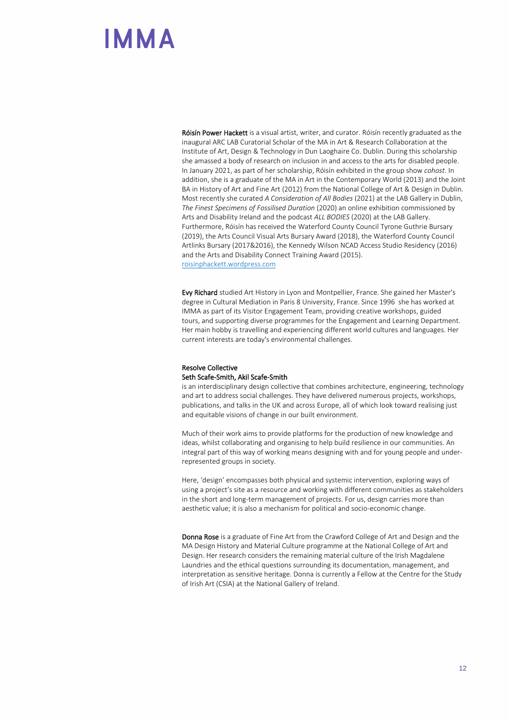Róisín Power Hackett is a visual artist, writer, and curator. Róisín recently graduated as the inaugural ARC LAB Curatorial Scholar of the MA in Art & Research Collaboration at the Institute of Art, Design & Technology in Dun Laoghaire Co. Dublin. During this scholarship she amassed a body of research on inclusion in and access to the arts for disabled people. In January 2021, as part of her scholarship, Róisín exhibited in the group show *cohost*. In addition, she is a graduate of the MA in Art in the Contemporary World (2013) and the Joint BA in History of Art and Fine Art (2012) from the National College of Art & Design in Dublin. Most recently she curated *A Consideration of All Bodies* (2021) at the LAB Gallery in Dublin, *The Finest Specimens of Fossilised Duration* (2020) an online exhibition commissioned by Arts and Disability Ireland and the podcast *ALL BODIES* (2020) at the LAB Gallery. Furthermore, Róisín has received the Waterford County Council Tyrone Guthrie Bursary (2019), the Arts Council Visual Arts Bursary Award (2018), the Waterford County Council Artlinks Bursary (2017&2016), the Kennedy Wilson NCAD Access Studio Residency (2016) and the Arts and Disability Connect Training Award (2015). roisinphackett.wordpress.com

Evy Richard studied Art History in Lyon and Montpellier, France. She gained her Master's degree in Cultural Mediation in Paris 8 University, France. Since 1996 she has worked at IMMA as part of its Visitor Engagement Team, providing creative workshops, guided tours, and supporting diverse programmes for the Engagement and Learning Department. Her main hobby is travelling and experiencing different world cultures and languages. Her current interests are today's environmental challenges.

#### Resolve Collective Seth Scafe-Smith, Akil Scafe-Smith

is an interdisciplinary design collective that combines architecture, engineering, technology and art to address social challenges. They have delivered numerous projects, workshops, publications, and talks in the UK and across Europe, all of which look toward realising just and equitable visions of change in our built environment.

Much of their work aims to provide platforms for the production of new knowledge and ideas, whilst collaborating and organising to help build resilience in our communities. An integral part of this way of working means designing with and for young people and underrepresented groups in society.

Here, 'design' encompasses both physical and systemic intervention, exploring ways of using a project's site as a resource and working with different communities as stakeholders in the short and long-term management of projects. For us, design carries more than aesthetic value; it is also a mechanism for political and socio-economic change.

Donna Rose is a graduate of Fine Art from the Crawford College of Art and Design and the MA Design History and Material Culture programme at the National College of Art and Design. Her research considers the remaining material culture of the Irish Magdalene Laundries and the ethical questions surrounding its documentation, management, and interpretation as sensitive heritage. Donna is currently a Fellow at the Centre for the Study of Irish Art (CSIA) at the National Gallery of Ireland.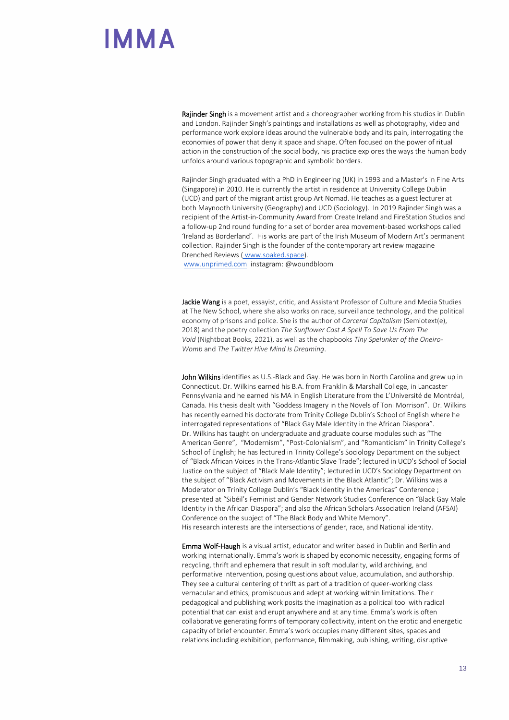Rajinder Singh is a movement artist and a choreographer working from his studios in Dublin and London. Rajinder Singh's paintings and installations as well as photography, video and performance work explore ideas around the vulnerable body and its pain, interrogating the economies of power that deny it space and shape. Often focused on the power of ritual action in the construction of the social body, his practice explores the ways the human body unfolds around various topographic and symbolic borders.

Rajinder Singh graduated with a PhD in Engineering (UK) in 1993 and a Master's in Fine Arts (Singapore) in 2010. He is currently the artist in residence at University College Dublin (UCD) and part of the migrant artist group Art Nomad. He teaches as a guest lecturer at both Maynooth University (Geography) and UCD (Sociology). In 2019 Rajinder Singh was a recipient of the Artist-in-Community Award from Create Ireland and FireStation Studios and a follow-up 2nd round funding for a set of border area movement-based workshops called 'Ireland as Borderland'. His works are part of the Irish Museum of Modern Art's permanent collection. Rajinder Singh is the founder of the contemporary art review magazine Drenched Reviews ( [www.soaked.space\)](http://www.soaked.space/).

[www.unprimed.com](http://www.unprimed.com/) instagram: @woundbloom

Jackie Wang is a poet, essayist, critic, and Assistant Professor of Culture and Media Studies at The New School, where she also works on race, surveillance technology, and the political economy of prisons and police. She is the author of *Carceral Capitalism* (Semiotext(e), 2018) and the poetry collection *The Sunflower Cast A Spell To Save Us From The Void* (Nightboat Books, 2021), as well as the chapbooks *Tiny Spelunker of the Oneiro-Womb* and *The Twitter Hive Mind Is Dreaming*.

John Wilkins identifies as U.S.-Black and Gay. He was born in North Carolina and grew up in Connecticut. Dr. Wilkins earned his B.A. from Franklin & Marshall College, in Lancaster Pennsylvania and he earned his MA in English Literature from the L'Université de Montréal, Canada. His thesis dealt with "Goddess Imagery in the Novels of Toni Morrison". Dr. Wilkins has recently earned his doctorate from Trinity College Dublin's School of English where he interrogated representations of "Black Gay Male Identity in the African Diaspora". Dr. Wilkins has taught on undergraduate and graduate course modules such as "The American Genre", "Modernism", "Post-Colonialism", and "Romanticism" in Trinity College's School of English; he has lectured in Trinity College's Sociology Department on the subject of "Black African Voices in the Trans-Atlantic Slave Trade"; lectured in UCD's School of Social Justice on the subject of "Black Male Identity"; lectured in UCD's Sociology Department on the subject of "Black Activism and Movements in the Black Atlantic"; Dr. Wilkins was a Moderator on Trinity College Dublin's "Black Identity in the Americas" Conference ; presented at "Sibéil's Feminist and Gender Network Studies Conference on "Black Gay Male Identity in the African Diaspora"; and also the African Scholars Association Ireland (AFSAI) Conference on the subject of "The Black Body and White Memory". His research interests are the intersections of gender, race, and National identity.

Emma Wolf-Haugh is a visual artist, educator and writer based in Dublin and Berlin and working internationally. Emma's work is shaped by economic necessity, engaging forms of recycling, thrift and ephemera that result in soft modularity, wild archiving, and performative intervention, posing questions about value, accumulation, and authorship. They see a cultural centering of thrift as part of a tradition of queer-working class vernacular and ethics, promiscuous and adept at working within limitations. Their pedagogical and publishing work posits the imagination as a political tool with radical potential that can exist and erupt anywhere and at any time. Emma's work is often collaborative generating forms of temporary collectivity, intent on the erotic and energetic capacity of brief encounter. Emma's work occupies many different sites, spaces and relations including exhibition, performance, filmmaking, publishing, writing, disruptive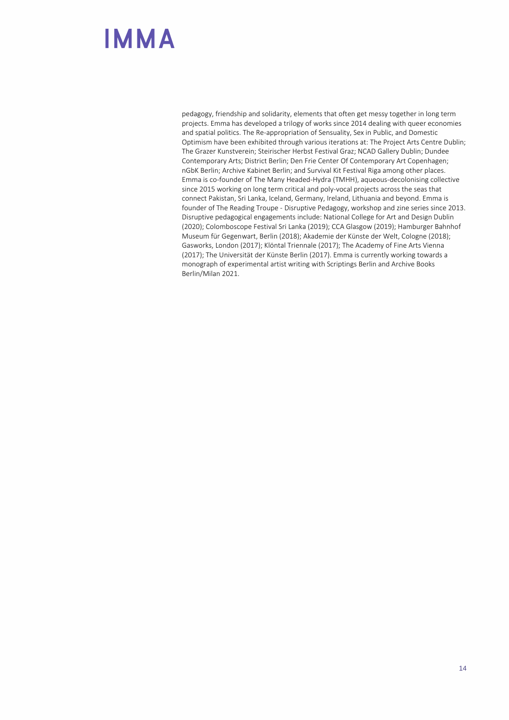pedagogy, friendship and solidarity, elements that often get messy together in long term projects. Emma has developed a trilogy of works since 2014 dealing with queer economies and spatial politics. The Re-appropriation of Sensuality, Sex in Public, and Domestic Optimism have been exhibited through various iterations at: The Project Arts Centre Dublin; The Grazer Kunstverein; Steirischer Herbst Festival Graz; NCAD Gallery Dublin; Dundee Contemporary Arts; District Berlin; Den Frie Center Of Contemporary Art Copenhagen; nGbK Berlin; Archive Kabinet Berlin; and Survival Kit Festival Riga among other places. Emma is co-founder of The Many Headed-Hydra (TMHH), aqueous-decolonising collective since 2015 working on long term critical and poly-vocal projects across the seas that connect Pakistan, Sri Lanka, Iceland, Germany, Ireland, Lithuania and beyond. Emma is founder of The Reading Troupe - Disruptive Pedagogy, workshop and zine series since 2013. Disruptive pedagogical engagements include: National College for Art and Design Dublin (2020); Colomboscope Festival Sri Lanka (2019); CCA Glasgow (2019); Hamburger Bahnhof Museum für Gegenwart, Berlin (2018); Akademie der Künste der Welt, Cologne (2018); Gasworks, London (2017); Klöntal Triennale (2017); The Academy of Fine Arts Vienna (2017); The Universität der Künste Berlin (2017). Emma is currently working towards a monograph of experimental artist writing with Scriptings Berlin and Archive Books Berlin/Milan 2021.